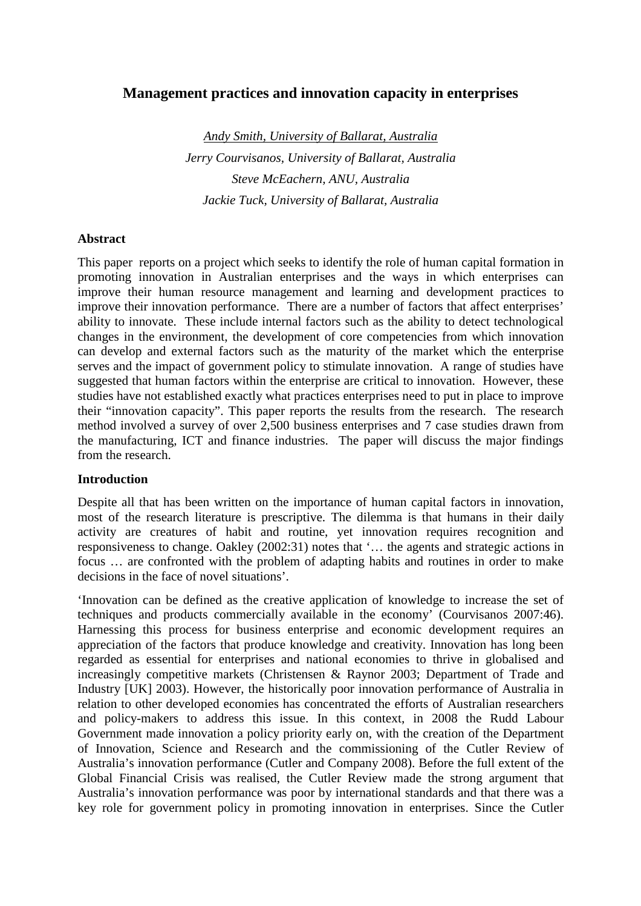# **Management practices and innovation capacity in enterprises**

*Andy Smith, University of Ballarat, Australia Jerry Courvisanos, University of Ballarat, Australia Steve McEachern, ANU, Australia Jackie Tuck, University of Ballarat, Australia*

#### **Abstract**

This paper reports on a project which seeks to identify the role of human capital formation in promoting innovation in Australian enterprises and the ways in which enterprises can improve their human resource management and learning and development practices to improve their innovation performance. There are a number of factors that affect enterprises' ability to innovate. These include internal factors such as the ability to detect technological changes in the environment, the development of core competencies from which innovation can develop and external factors such as the maturity of the market which the enterprise serves and the impact of government policy to stimulate innovation. A range of studies have suggested that human factors within the enterprise are critical to innovation. However, these studies have not established exactly what practices enterprises need to put in place to improve their "innovation capacity". This paper reports the results from the research. The research method involved a survey of over 2,500 business enterprises and 7 case studies drawn from the manufacturing, ICT and finance industries. The paper will discuss the major findings from the research.

#### **Introduction**

Despite all that has been written on the importance of human capital factors in innovation, most of the research literature is prescriptive. The dilemma is that humans in their daily activity are creatures of habit and routine, yet innovation requires recognition and responsiveness to change. Oakley (2002:31) notes that '… the agents and strategic actions in focus … are confronted with the problem of adapting habits and routines in order to make decisions in the face of novel situations'.

'Innovation can be defined as the creative application of knowledge to increase the set of techniques and products commercially available in the economy' (Courvisanos 2007:46). Harnessing this process for business enterprise and economic development requires an appreciation of the factors that produce knowledge and creativity. Innovation has long been regarded as essential for enterprises and national economies to thrive in globalised and increasingly competitive markets (Christensen & Raynor 2003; Department of Trade and Industry [UK] 2003). However, the historically poor innovation performance of Australia in relation to other developed economies has concentrated the efforts of Australian researchers and policy-makers to address this issue. In this context, in 2008 the Rudd Labour Government made innovation a policy priority early on, with the creation of the Department of Innovation, Science and Research and the commissioning of the Cutler Review of Australia's innovation performance (Cutler and Company 2008). Before the full extent of the Global Financial Crisis was realised, the Cutler Review made the strong argument that Australia's innovation performance was poor by international standards and that there was a key role for government policy in promoting innovation in enterprises. Since the Cutler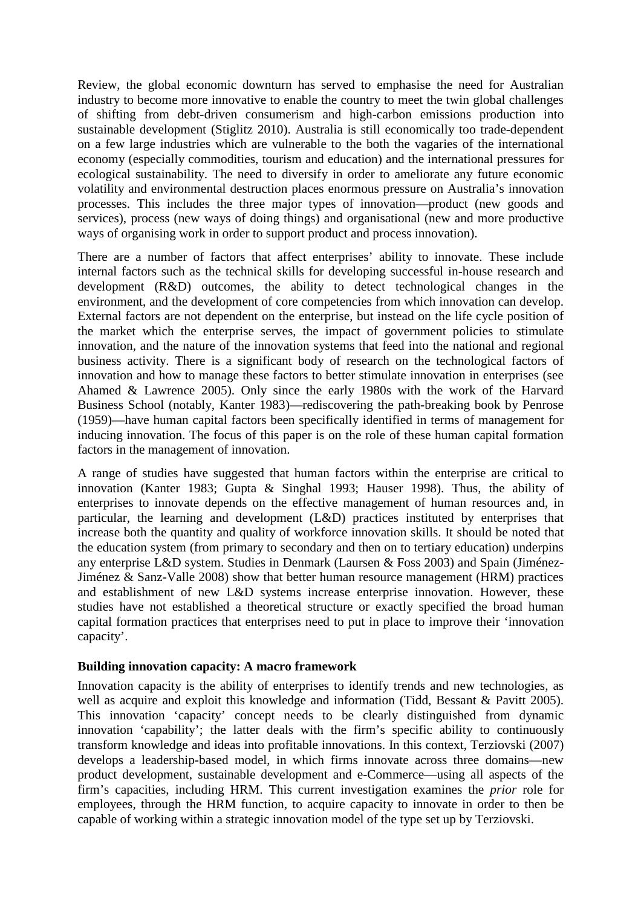Review, the global economic downturn has served to emphasise the need for Australian industry to become more innovative to enable the country to meet the twin global challenges of shifting from debt-driven consumerism and high-carbon emissions production into sustainable development (Stiglitz 2010). Australia is still economically too trade-dependent on a few large industries which are vulnerable to the both the vagaries of the international economy (especially commodities, tourism and education) and the international pressures for ecological sustainability. The need to diversify in order to ameliorate any future economic volatility and environmental destruction places enormous pressure on Australia's innovation processes. This includes the three major types of innovation—product (new goods and services), process (new ways of doing things) and organisational (new and more productive ways of organising work in order to support product and process innovation).

There are a number of factors that affect enterprises' ability to innovate. These include internal factors such as the technical skills for developing successful in-house research and development (R&D) outcomes, the ability to detect technological changes in the environment, and the development of core competencies from which innovation can develop. External factors are not dependent on the enterprise, but instead on the life cycle position of the market which the enterprise serves, the impact of government policies to stimulate innovation, and the nature of the innovation systems that feed into the national and regional business activity. There is a significant body of research on the technological factors of innovation and how to manage these factors to better stimulate innovation in enterprises (see Ahamed & Lawrence 2005). Only since the early 1980s with the work of the Harvard Business School (notably, Kanter 1983)—rediscovering the path-breaking book by Penrose (1959)—have human capital factors been specifically identified in terms of management for inducing innovation. The focus of this paper is on the role of these human capital formation factors in the management of innovation.

A range of studies have suggested that human factors within the enterprise are critical to innovation (Kanter 1983; Gupta & Singhal 1993; Hauser 1998). Thus, the ability of enterprises to innovate depends on the effective management of human resources and, in particular, the learning and development (L&D) practices instituted by enterprises that increase both the quantity and quality of workforce innovation skills. It should be noted that the education system (from primary to secondary and then on to tertiary education) underpins any enterprise L&D system. Studies in Denmark (Laursen & Foss 2003) and Spain (Jiménez-Jiménez & Sanz-Valle 2008) show that better human resource management (HRM) practices and establishment of new L&D systems increase enterprise innovation. However, these studies have not established a theoretical structure or exactly specified the broad human capital formation practices that enterprises need to put in place to improve their 'innovation capacity'.

#### **Building innovation capacity: A macro framework**

Innovation capacity is the ability of enterprises to identify trends and new technologies, as well as acquire and exploit this knowledge and information (Tidd, Bessant & Pavitt 2005). This innovation 'capacity' concept needs to be clearly distinguished from dynamic innovation 'capability'; the latter deals with the firm's specific ability to continuously transform knowledge and ideas into profitable innovations. In this context, Terziovski (2007) develops a leadership-based model, in which firms innovate across three domains—new product development, sustainable development and e-Commerce—using all aspects of the firm's capacities, including HRM. This current investigation examines the *prior* role for employees, through the HRM function, to acquire capacity to innovate in order to then be capable of working within a strategic innovation model of the type set up by Terziovski.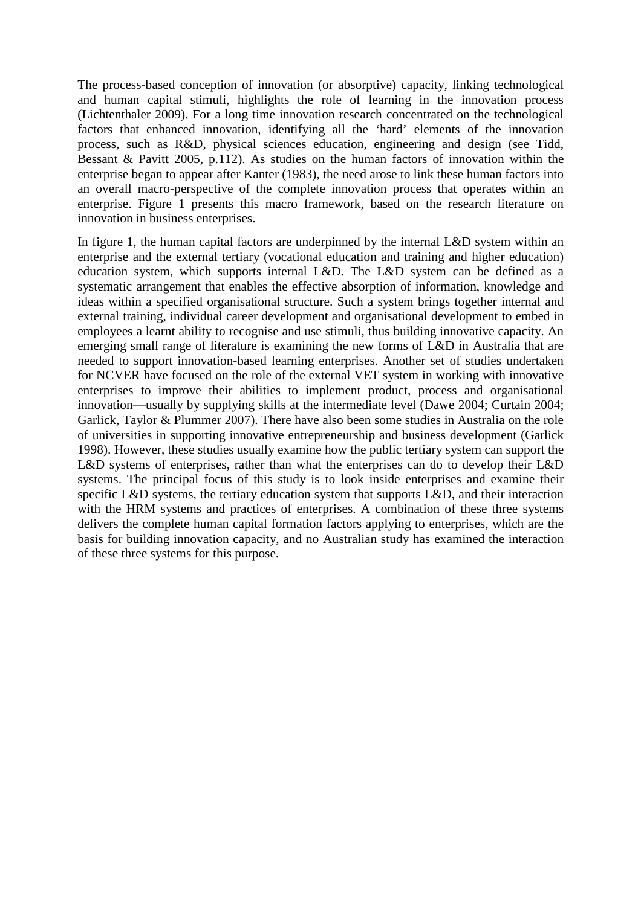The process-based conception of innovation (or absorptive) capacity, linking technological and human capital stimuli, highlights the role of learning in the innovation process (Lichtenthaler 2009). For a long time innovation research concentrated on the technological factors that enhanced innovation, identifying all the 'hard' elements of the innovation process, such as R&D, physical sciences education, engineering and design (see Tidd, Bessant & Pavitt 2005, p.112). As studies on the human factors of innovation within the enterprise began to appear after Kanter (1983), the need arose to link these human factors into an overall macro-perspective of the complete innovation process that operates within an enterprise. Figure 1 presents this macro framework, based on the research literature on innovation in business enterprises.

In figure 1, the human capital factors are underpinned by the internal L&D system within an enterprise and the external tertiary (vocational education and training and higher education) education system, which supports internal L&D. The L&D system can be defined as a systematic arrangement that enables the effective absorption of information, knowledge and ideas within a specified organisational structure. Such a system brings together internal and external training, individual career development and organisational development to embed in employees a learnt ability to recognise and use stimuli, thus building innovative capacity. An emerging small range of literature is examining the new forms of L&D in Australia that are needed to support innovation-based learning enterprises. Another set of studies undertaken for NCVER have focused on the role of the external VET system in working with innovative enterprises to improve their abilities to implement product, process and organisational innovation—usually by supplying skills at the intermediate level (Dawe 2004; Curtain 2004; Garlick, Taylor & Plummer 2007). There have also been some studies in Australia on the role of universities in supporting innovative entrepreneurship and business development (Garlick 1998). However, these studies usually examine how the public tertiary system can support the L&D systems of enterprises, rather than what the enterprises can do to develop their L&D systems. The principal focus of this study is to look inside enterprises and examine their specific L&D systems, the tertiary education system that supports L&D, and their interaction with the HRM systems and practices of enterprises. A combination of these three systems delivers the complete human capital formation factors applying to enterprises, which are the basis for building innovation capacity, and no Australian study has examined the interaction of these three systems for this purpose.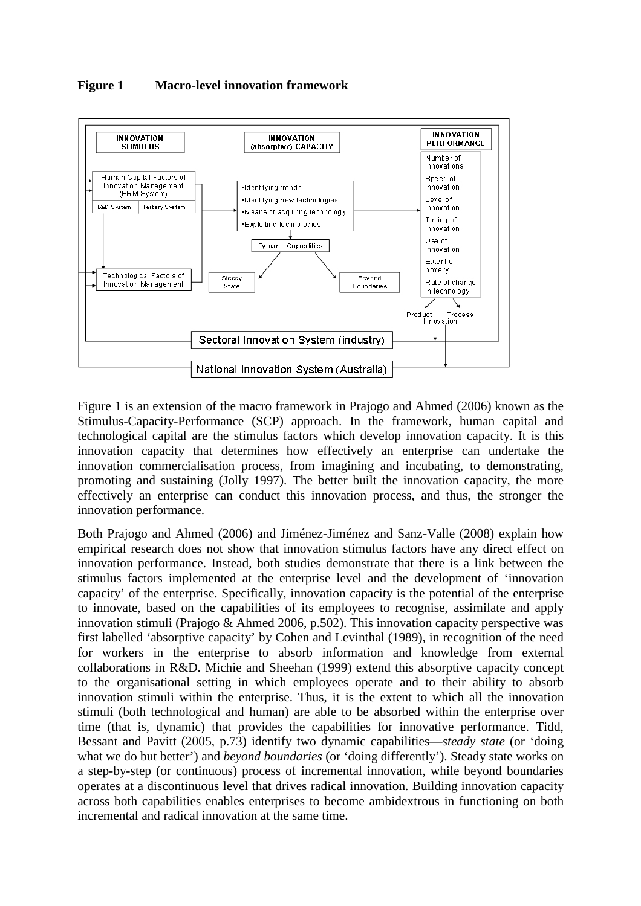



Figure 1 is an extension of the macro framework in Prajogo and Ahmed (2006) known as the Stimulus-Capacity-Performance (SCP) approach. In the framework, human capital and technological capital are the stimulus factors which develop innovation capacity. It is this innovation capacity that determines how effectively an enterprise can undertake the innovation commercialisation process, from imagining and incubating, to demonstrating, promoting and sustaining (Jolly 1997). The better built the innovation capacity, the more effectively an enterprise can conduct this innovation process, and thus, the stronger the innovation performance.

Both Prajogo and Ahmed (2006) and Jiménez-Jiménez and Sanz-Valle (2008) explain how empirical research does not show that innovation stimulus factors have any direct effect on innovation performance. Instead, both studies demonstrate that there is a link between the stimulus factors implemented at the enterprise level and the development of 'innovation capacity' of the enterprise. Specifically, innovation capacity is the potential of the enterprise to innovate, based on the capabilities of its employees to recognise, assimilate and apply innovation stimuli (Prajogo & Ahmed 2006, p.502). This innovation capacity perspective was first labelled 'absorptive capacity' by Cohen and Levinthal (1989), in recognition of the need for workers in the enterprise to absorb information and knowledge from external collaborations in R&D. Michie and Sheehan (1999) extend this absorptive capacity concept to the organisational setting in which employees operate and to their ability to absorb innovation stimuli within the enterprise. Thus, it is the extent to which all the innovation stimuli (both technological and human) are able to be absorbed within the enterprise over time (that is, dynamic) that provides the capabilities for innovative performance. Tidd, Bessant and Pavitt (2005, p.73) identify two dynamic capabilities—*steady state* (or 'doing what we do but better') and *beyond boundaries* (or 'doing differently'). Steady state works on a step-by-step (or continuous) process of incremental innovation, while beyond boundaries operates at a discontinuous level that drives radical innovation. Building innovation capacity across both capabilities enables enterprises to become ambidextrous in functioning on both incremental and radical innovation at the same time.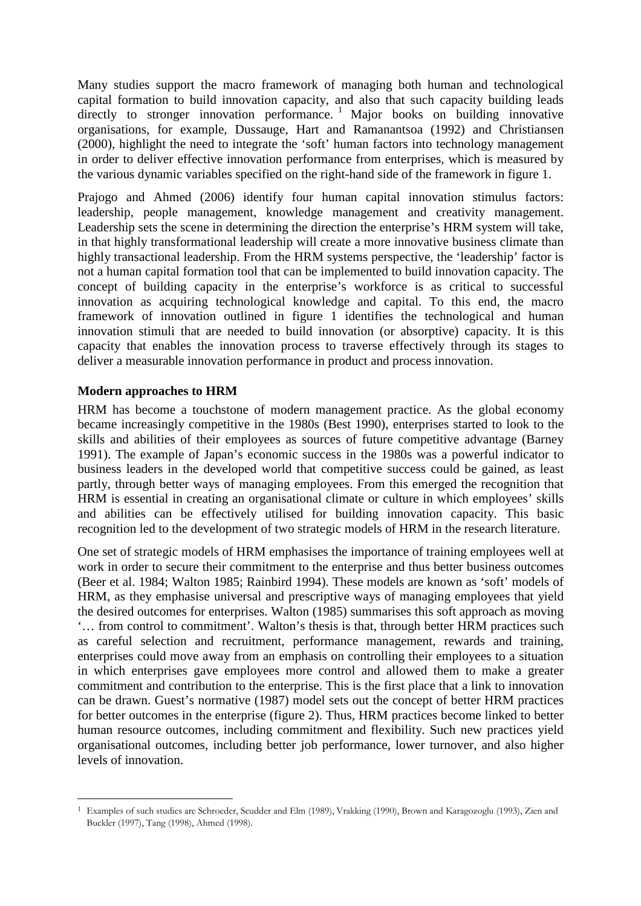Many studies support the macro framework of managing both human and technological capital formation to build innovation capacity, and also that such capacity building leads directly to stronger innovation performance.<sup>1</sup> Major books on building innovative organisations, for example, Dussauge, Hart and Ramanantsoa (1992) and Christiansen (2000), highlight the need to integrate the 'soft' human factors into technology management in order to deliver effective innovation performance from enterprises, which is measured by the various dynamic variables specified on the right-hand side of the framework in figure 1.

Prajogo and Ahmed (2006) identify four human capital innovation stimulus factors: leadership, people management, knowledge management and creativity management. Leadership sets the scene in determining the direction the enterprise's HRM system will take, in that highly transformational leadership will create a more innovative business climate than highly transactional leadership. From the HRM systems perspective, the 'leadership' factor is not a human capital formation tool that can be implemented to build innovation capacity. The concept of building capacity in the enterprise's workforce is as critical to successful innovation as acquiring technological knowledge and capital. To this end, the macro framework of innovation outlined in figure 1 identifies the technological and human innovation stimuli that are needed to build innovation (or absorptive) capacity. It is this capacity that enables the innovation process to traverse effectively through its stages to deliver a measurable innovation performance in product and process innovation.

## **Modern approaches to HRM**

HRM has become a touchstone of modern management practice. As the global economy became increasingly competitive in the 1980s (Best 1990), enterprises started to look to the skills and abilities of their employees as sources of future competitive advantage (Barney 1991). The example of Japan's economic success in the 1980s was a powerful indicator to business leaders in the developed world that competitive success could be gained, as least partly, through better ways of managing employees. From this emerged the recognition that HRM is essential in creating an organisational climate or culture in which employees' skills and abilities can be effectively utilised for building innovation capacity. This basic recognition led to the development of two strategic models of HRM in the research literature.

One set of strategic models of HRM emphasises the importance of training employees well at work in order to secure their commitment to the enterprise and thus better business outcomes (Beer et al. 1984; Walton 1985; Rainbird 1994). These models are known as 'soft' models of HRM, as they emphasise universal and prescriptive ways of managing employees that yield the desired outcomes for enterprises. Walton (1985) summarises this soft approach as moving '… from control to commitment'. Walton's thesis is that, through better HRM practices such as careful selection and recruitment, performance management, rewards and training, enterprises could move away from an emphasis on controlling their employees to a situation in which enterprises gave employees more control and allowed them to make a greater commitment and contribution to the enterprise. This is the first place that a link to innovation can be drawn. Guest's normative (1987) model sets out the concept of better HRM practices for better outcomes in the enterprise (figure 2). Thus, HRM practices become linked to better human resource outcomes, including commitment and flexibility. Such new practices yield organisational outcomes, including better job performance, lower turnover, and also higher levels of innovation.

 $\overline{a}$ 1 Examples of such studies are Schroeder, Scudder and Elm (1989), Vrakking (1990), Brown and Karagozoglu (1993), Zien and Buckler (1997), Tang (1998), Ahmed (1998).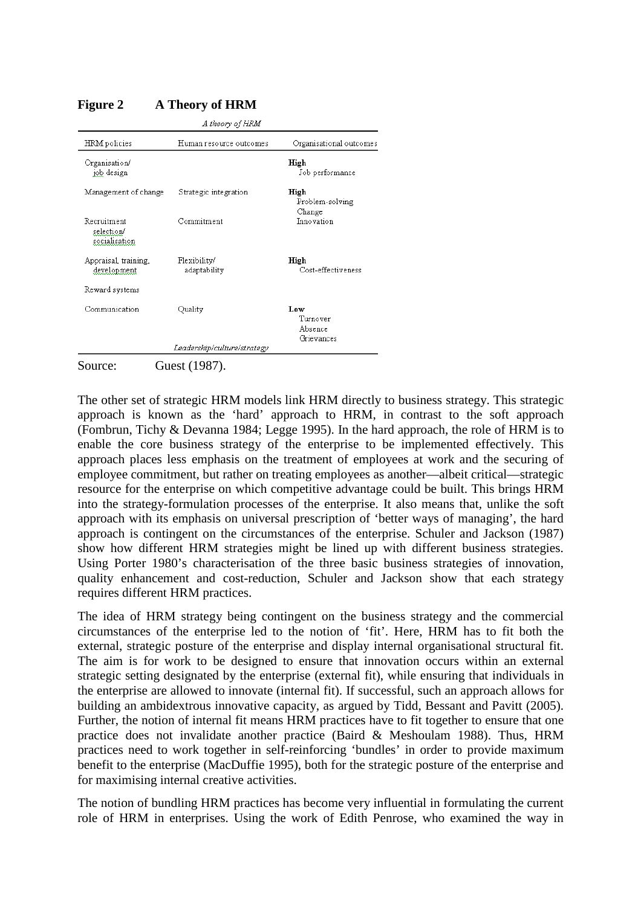| A theory of HRM                            |                              |                                          |
|--------------------------------------------|------------------------------|------------------------------------------|
| HRM policies                               | Human resource outcomes      | Organisational outcomes                  |
| Organisation/<br>job design                |                              | High<br>Job performance                  |
| Management of change                       | Strategic integration        | High<br>Problem-solving<br>Change        |
| Recruitment<br>selection/<br>socialisation | Commitment                   | Innovation                               |
| Appraisal, training,<br>development        | Flexibility/<br>adaptability | High<br>Cost-effectiveness               |
| Reward systems                             |                              |                                          |
| Communication                              | Quality                      | Low<br>Turnover<br>Absence<br>Grievances |
|                                            | Leadership/culture/strategy  |                                          |

# **Figure 2 A Theory of HRM**

The other set of strategic HRM models link HRM directly to business strategy. This strategic approach is known as the 'hard' approach to HRM, in contrast to the soft approach (Fombrun, Tichy & Devanna 1984; Legge 1995). In the hard approach, the role of HRM is to enable the core business strategy of the enterprise to be implemented effectively. This approach places less emphasis on the treatment of employees at work and the securing of employee commitment, but rather on treating employees as another—albeit critical—strategic resource for the enterprise on which competitive advantage could be built. This brings HRM into the strategy-formulation processes of the enterprise. It also means that, unlike the soft approach with its emphasis on universal prescription of 'better ways of managing', the hard approach is contingent on the circumstances of the enterprise. Schuler and Jackson (1987) show how different HRM strategies might be lined up with different business strategies. Using Porter 1980's characterisation of the three basic business strategies of innovation, quality enhancement and cost-reduction, Schuler and Jackson show that each strategy requires different HRM practices.

The idea of HRM strategy being contingent on the business strategy and the commercial circumstances of the enterprise led to the notion of 'fit'. Here, HRM has to fit both the external, strategic posture of the enterprise and display internal organisational structural fit. The aim is for work to be designed to ensure that innovation occurs within an external strategic setting designated by the enterprise (external fit), while ensuring that individuals in the enterprise are allowed to innovate (internal fit). If successful, such an approach allows for building an ambidextrous innovative capacity, as argued by Tidd, Bessant and Pavitt (2005). Further, the notion of internal fit means HRM practices have to fit together to ensure that one practice does not invalidate another practice (Baird & Meshoulam 1988). Thus, HRM practices need to work together in self-reinforcing 'bundles' in order to provide maximum benefit to the enterprise (MacDuffie 1995), both for the strategic posture of the enterprise and for maximising internal creative activities.

The notion of bundling HRM practices has become very influential in formulating the current role of HRM in enterprises. Using the work of Edith Penrose, who examined the way in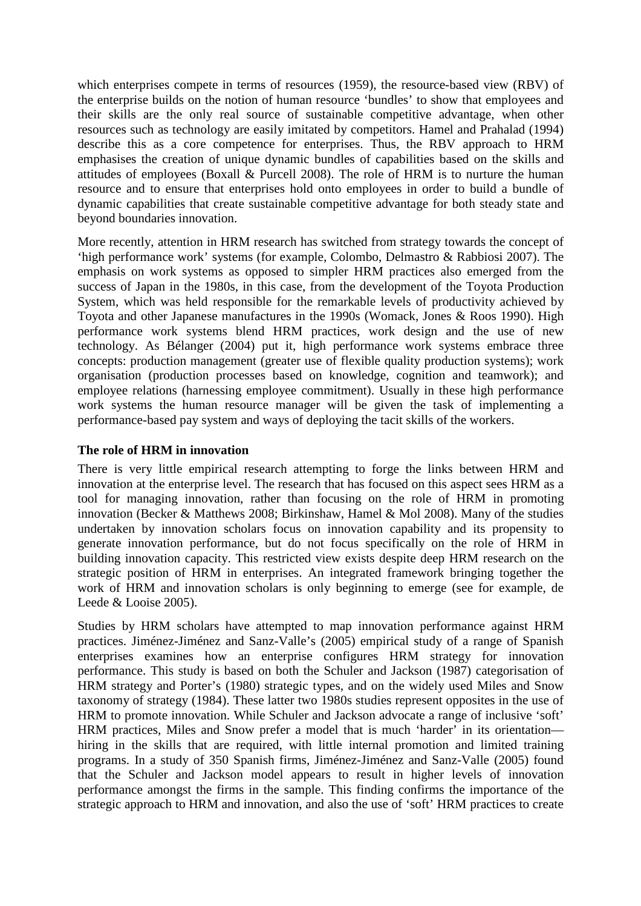which enterprises compete in terms of resources (1959), the resource-based view (RBV) of the enterprise builds on the notion of human resource 'bundles' to show that employees and their skills are the only real source of sustainable competitive advantage, when other resources such as technology are easily imitated by competitors. Hamel and Prahalad (1994) describe this as a core competence for enterprises. Thus, the RBV approach to HRM emphasises the creation of unique dynamic bundles of capabilities based on the skills and attitudes of employees (Boxall & Purcell 2008). The role of HRM is to nurture the human resource and to ensure that enterprises hold onto employees in order to build a bundle of dynamic capabilities that create sustainable competitive advantage for both steady state and beyond boundaries innovation.

More recently, attention in HRM research has switched from strategy towards the concept of 'high performance work' systems (for example, Colombo, Delmastro & Rabbiosi 2007). The emphasis on work systems as opposed to simpler HRM practices also emerged from the success of Japan in the 1980s, in this case, from the development of the Toyota Production System, which was held responsible for the remarkable levels of productivity achieved by Toyota and other Japanese manufactures in the 1990s (Womack, Jones & Roos 1990). High performance work systems blend HRM practices, work design and the use of new technology. As Bélanger (2004) put it, high performance work systems embrace three concepts: production management (greater use of flexible quality production systems); work organisation (production processes based on knowledge, cognition and teamwork); and employee relations (harnessing employee commitment). Usually in these high performance work systems the human resource manager will be given the task of implementing a performance-based pay system and ways of deploying the tacit skills of the workers.

# **The role of HRM in innovation**

There is very little empirical research attempting to forge the links between HRM and innovation at the enterprise level. The research that has focused on this aspect sees HRM as a tool for managing innovation, rather than focusing on the role of HRM in promoting innovation (Becker & Matthews 2008; Birkinshaw, Hamel & Mol 2008). Many of the studies undertaken by innovation scholars focus on innovation capability and its propensity to generate innovation performance, but do not focus specifically on the role of HRM in building innovation capacity. This restricted view exists despite deep HRM research on the strategic position of HRM in enterprises. An integrated framework bringing together the work of HRM and innovation scholars is only beginning to emerge (see for example, de Leede & Looise 2005).

Studies by HRM scholars have attempted to map innovation performance against HRM practices. Jiménez-Jiménez and Sanz-Valle's (2005) empirical study of a range of Spanish enterprises examines how an enterprise configures HRM strategy for innovation performance. This study is based on both the Schuler and Jackson (1987) categorisation of HRM strategy and Porter's (1980) strategic types, and on the widely used Miles and Snow taxonomy of strategy (1984). These latter two 1980s studies represent opposites in the use of HRM to promote innovation. While Schuler and Jackson advocate a range of inclusive 'soft' HRM practices, Miles and Snow prefer a model that is much 'harder' in its orientation hiring in the skills that are required, with little internal promotion and limited training programs. In a study of 350 Spanish firms, Jiménez-Jiménez and Sanz-Valle (2005) found that the Schuler and Jackson model appears to result in higher levels of innovation performance amongst the firms in the sample. This finding confirms the importance of the strategic approach to HRM and innovation, and also the use of 'soft' HRM practices to create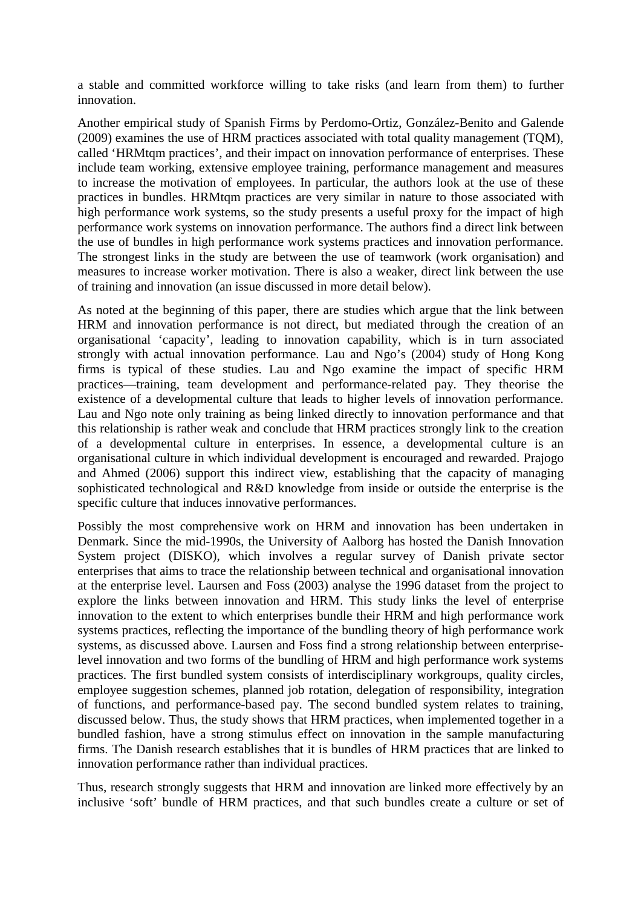a stable and committed workforce willing to take risks (and learn from them) to further innovation.

Another empirical study of Spanish Firms by Perdomo-Ortiz, González-Benito and Galende (2009) examines the use of HRM practices associated with total quality management (TQM), called 'HRMtqm practices', and their impact on innovation performance of enterprises. These include team working, extensive employee training, performance management and measures to increase the motivation of employees. In particular, the authors look at the use of these practices in bundles. HRMtqm practices are very similar in nature to those associated with high performance work systems, so the study presents a useful proxy for the impact of high performance work systems on innovation performance. The authors find a direct link between the use of bundles in high performance work systems practices and innovation performance. The strongest links in the study are between the use of teamwork (work organisation) and measures to increase worker motivation. There is also a weaker, direct link between the use of training and innovation (an issue discussed in more detail below).

As noted at the beginning of this paper, there are studies which argue that the link between HRM and innovation performance is not direct, but mediated through the creation of an organisational 'capacity', leading to innovation capability, which is in turn associated strongly with actual innovation performance. Lau and Ngo's (2004) study of Hong Kong firms is typical of these studies. Lau and Ngo examine the impact of specific HRM practices—training, team development and performance-related pay. They theorise the existence of a developmental culture that leads to higher levels of innovation performance. Lau and Ngo note only training as being linked directly to innovation performance and that this relationship is rather weak and conclude that HRM practices strongly link to the creation of a developmental culture in enterprises. In essence, a developmental culture is an organisational culture in which individual development is encouraged and rewarded. Prajogo and Ahmed (2006) support this indirect view, establishing that the capacity of managing sophisticated technological and R&D knowledge from inside or outside the enterprise is the specific culture that induces innovative performances.

Possibly the most comprehensive work on HRM and innovation has been undertaken in Denmark. Since the mid-1990s, the University of Aalborg has hosted the Danish Innovation System project (DISKO), which involves a regular survey of Danish private sector enterprises that aims to trace the relationship between technical and organisational innovation at the enterprise level. Laursen and Foss (2003) analyse the 1996 dataset from the project to explore the links between innovation and HRM. This study links the level of enterprise innovation to the extent to which enterprises bundle their HRM and high performance work systems practices, reflecting the importance of the bundling theory of high performance work systems, as discussed above. Laursen and Foss find a strong relationship between enterpriselevel innovation and two forms of the bundling of HRM and high performance work systems practices. The first bundled system consists of interdisciplinary workgroups, quality circles, employee suggestion schemes, planned job rotation, delegation of responsibility, integration of functions, and performance-based pay. The second bundled system relates to training, discussed below. Thus, the study shows that HRM practices, when implemented together in a bundled fashion, have a strong stimulus effect on innovation in the sample manufacturing firms. The Danish research establishes that it is bundles of HRM practices that are linked to innovation performance rather than individual practices.

Thus, research strongly suggests that HRM and innovation are linked more effectively by an inclusive 'soft' bundle of HRM practices, and that such bundles create a culture or set of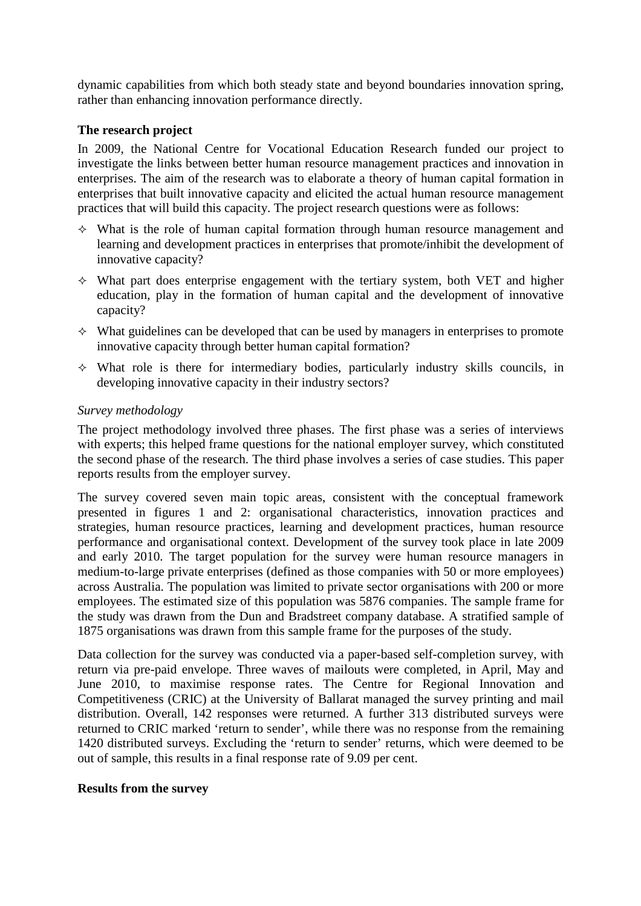dynamic capabilities from which both steady state and beyond boundaries innovation spring, rather than enhancing innovation performance directly.

## **The research project**

In 2009, the National Centre for Vocational Education Research funded our project to investigate the links between better human resource management practices and innovation in enterprises. The aim of the research was to elaborate a theory of human capital formation in enterprises that built innovative capacity and elicited the actual human resource management practices that will build this capacity. The project research questions were as follows:

- $\Diamond$  What is the role of human capital formation through human resource management and learning and development practices in enterprises that promote/inhibit the development of innovative capacity?
- $\Diamond$  What part does enterprise engagement with the tertiary system, both VET and higher education, play in the formation of human capital and the development of innovative capacity?
- $\Diamond$  What guidelines can be developed that can be used by managers in enterprises to promote innovative capacity through better human capital formation?
- $\Diamond$  What role is there for intermediary bodies, particularly industry skills councils, in developing innovative capacity in their industry sectors?

## *Survey methodology*

The project methodology involved three phases. The first phase was a series of interviews with experts; this helped frame questions for the national employer survey, which constituted the second phase of the research. The third phase involves a series of case studies. This paper reports results from the employer survey.

The survey covered seven main topic areas, consistent with the conceptual framework presented in figures 1 and 2: organisational characteristics, innovation practices and strategies, human resource practices, learning and development practices, human resource performance and organisational context. Development of the survey took place in late 2009 and early 2010. The target population for the survey were human resource managers in medium-to-large private enterprises (defined as those companies with 50 or more employees) across Australia. The population was limited to private sector organisations with 200 or more employees. The estimated size of this population was 5876 companies. The sample frame for the study was drawn from the Dun and Bradstreet company database. A stratified sample of 1875 organisations was drawn from this sample frame for the purposes of the study.

Data collection for the survey was conducted via a paper-based self-completion survey, with return via pre-paid envelope. Three waves of mailouts were completed, in April, May and June 2010, to maximise response rates. The Centre for Regional Innovation and Competitiveness (CRIC) at the University of Ballarat managed the survey printing and mail distribution. Overall, 142 responses were returned. A further 313 distributed surveys were returned to CRIC marked 'return to sender', while there was no response from the remaining 1420 distributed surveys. Excluding the 'return to sender' returns, which were deemed to be out of sample, this results in a final response rate of 9.09 per cent.

#### **Results from the survey**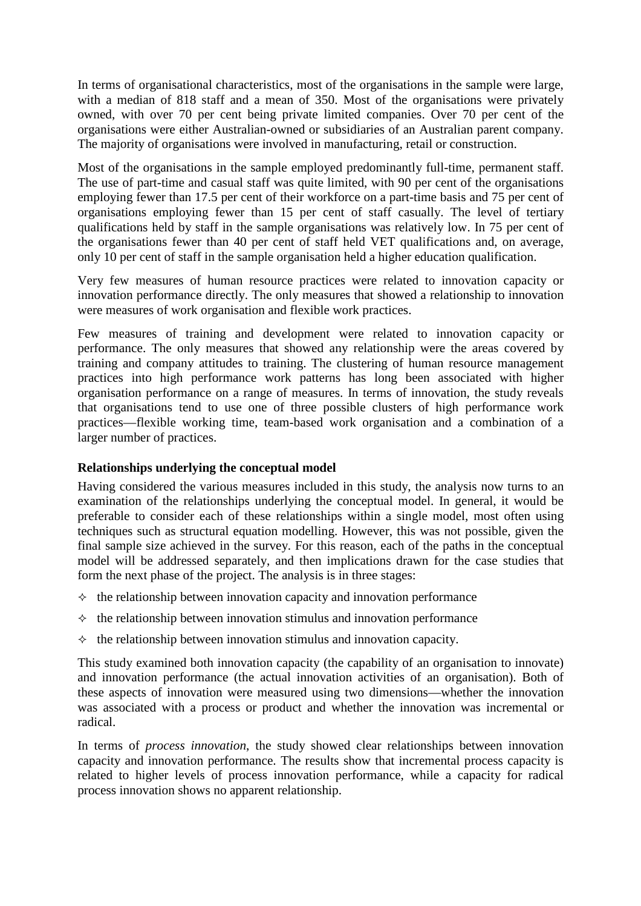In terms of organisational characteristics, most of the organisations in the sample were large, with a median of 818 staff and a mean of 350. Most of the organisations were privately owned, with over 70 per cent being private limited companies. Over 70 per cent of the organisations were either Australian-owned or subsidiaries of an Australian parent company. The majority of organisations were involved in manufacturing, retail or construction.

Most of the organisations in the sample employed predominantly full-time, permanent staff. The use of part-time and casual staff was quite limited, with 90 per cent of the organisations employing fewer than 17.5 per cent of their workforce on a part-time basis and 75 per cent of organisations employing fewer than 15 per cent of staff casually. The level of tertiary qualifications held by staff in the sample organisations was relatively low. In 75 per cent of the organisations fewer than 40 per cent of staff held VET qualifications and, on average, only 10 per cent of staff in the sample organisation held a higher education qualification.

Very few measures of human resource practices were related to innovation capacity or innovation performance directly. The only measures that showed a relationship to innovation were measures of work organisation and flexible work practices.

Few measures of training and development were related to innovation capacity or performance. The only measures that showed any relationship were the areas covered by training and company attitudes to training. The clustering of human resource management practices into high performance work patterns has long been associated with higher organisation performance on a range of measures. In terms of innovation, the study reveals that organisations tend to use one of three possible clusters of high performance work practices—flexible working time, team-based work organisation and a combination of a larger number of practices.

# **Relationships underlying the conceptual model**

Having considered the various measures included in this study, the analysis now turns to an examination of the relationships underlying the conceptual model. In general, it would be preferable to consider each of these relationships within a single model, most often using techniques such as structural equation modelling. However, this was not possible, given the final sample size achieved in the survey. For this reason, each of the paths in the conceptual model will be addressed separately, and then implications drawn for the case studies that form the next phase of the project. The analysis is in three stages:

- $\Diamond$  the relationship between innovation capacity and innovation performance
- $\Diamond$  the relationship between innovation stimulus and innovation performance
- $\Diamond$  the relationship between innovation stimulus and innovation capacity.

This study examined both innovation capacity (the capability of an organisation to innovate) and innovation performance (the actual innovation activities of an organisation). Both of these aspects of innovation were measured using two dimensions—whether the innovation was associated with a process or product and whether the innovation was incremental or radical.

In terms of *process innovation*, the study showed clear relationships between innovation capacity and innovation performance. The results show that incremental process capacity is related to higher levels of process innovation performance, while a capacity for radical process innovation shows no apparent relationship.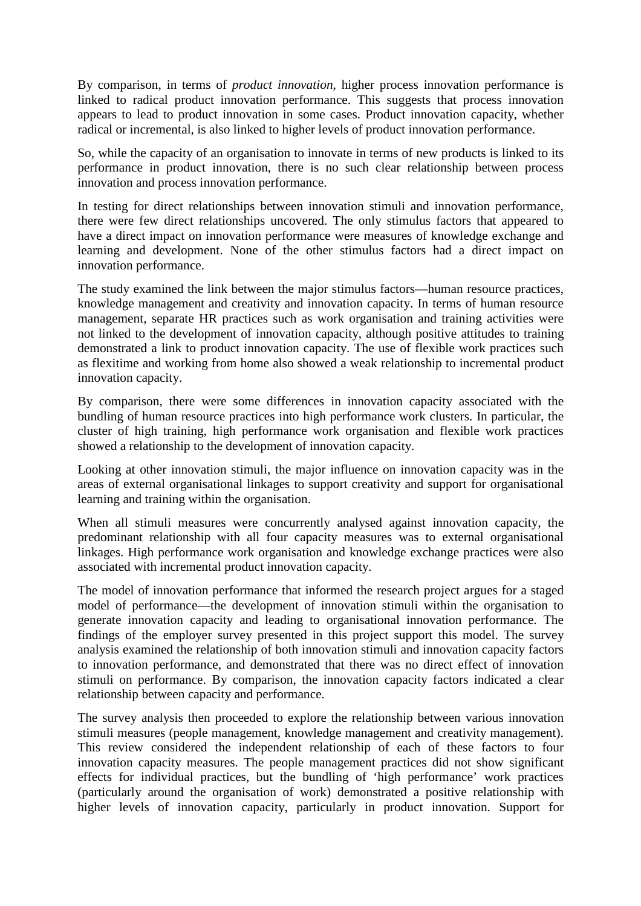By comparison, in terms of *product innovation*, higher process innovation performance is linked to radical product innovation performance. This suggests that process innovation appears to lead to product innovation in some cases. Product innovation capacity, whether radical or incremental, is also linked to higher levels of product innovation performance.

So, while the capacity of an organisation to innovate in terms of new products is linked to its performance in product innovation, there is no such clear relationship between process innovation and process innovation performance.

In testing for direct relationships between innovation stimuli and innovation performance, there were few direct relationships uncovered. The only stimulus factors that appeared to have a direct impact on innovation performance were measures of knowledge exchange and learning and development. None of the other stimulus factors had a direct impact on innovation performance.

The study examined the link between the major stimulus factors—human resource practices, knowledge management and creativity and innovation capacity. In terms of human resource management, separate HR practices such as work organisation and training activities were not linked to the development of innovation capacity, although positive attitudes to training demonstrated a link to product innovation capacity. The use of flexible work practices such as flexitime and working from home also showed a weak relationship to incremental product innovation capacity.

By comparison, there were some differences in innovation capacity associated with the bundling of human resource practices into high performance work clusters. In particular, the cluster of high training, high performance work organisation and flexible work practices showed a relationship to the development of innovation capacity.

Looking at other innovation stimuli, the major influence on innovation capacity was in the areas of external organisational linkages to support creativity and support for organisational learning and training within the organisation.

When all stimuli measures were concurrently analysed against innovation capacity, the predominant relationship with all four capacity measures was to external organisational linkages. High performance work organisation and knowledge exchange practices were also associated with incremental product innovation capacity.

The model of innovation performance that informed the research project argues for a staged model of performance—the development of innovation stimuli within the organisation to generate innovation capacity and leading to organisational innovation performance. The findings of the employer survey presented in this project support this model. The survey analysis examined the relationship of both innovation stimuli and innovation capacity factors to innovation performance, and demonstrated that there was no direct effect of innovation stimuli on performance. By comparison, the innovation capacity factors indicated a clear relationship between capacity and performance.

The survey analysis then proceeded to explore the relationship between various innovation stimuli measures (people management, knowledge management and creativity management). This review considered the independent relationship of each of these factors to four innovation capacity measures. The people management practices did not show significant effects for individual practices, but the bundling of 'high performance' work practices (particularly around the organisation of work) demonstrated a positive relationship with higher levels of innovation capacity, particularly in product innovation. Support for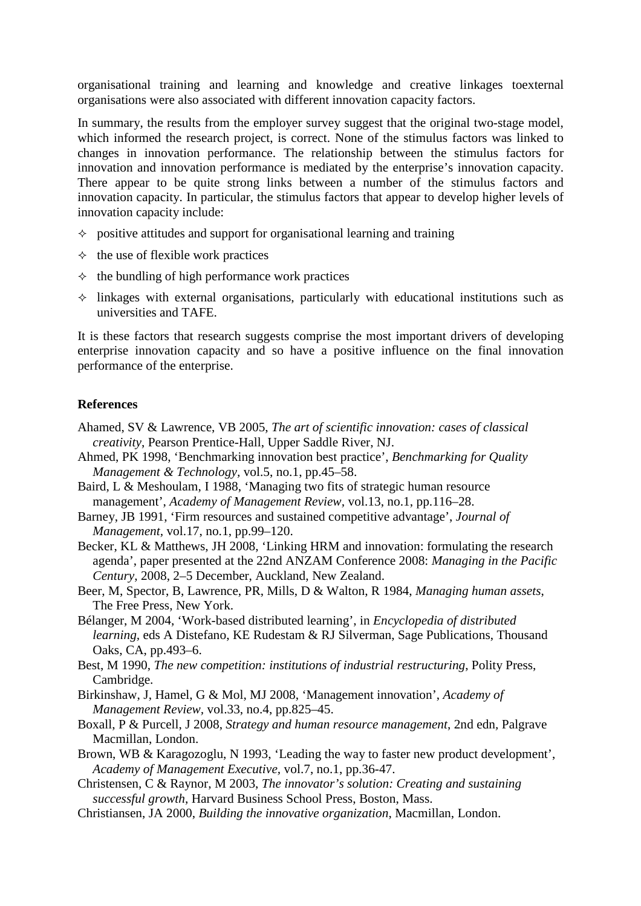organisational training and learning and knowledge and creative linkages toexternal organisations were also associated with different innovation capacity factors.

In summary, the results from the employer survey suggest that the original two-stage model, which informed the research project, is correct. None of the stimulus factors was linked to changes in innovation performance. The relationship between the stimulus factors for innovation and innovation performance is mediated by the enterprise's innovation capacity. There appear to be quite strong links between a number of the stimulus factors and innovation capacity. In particular, the stimulus factors that appear to develop higher levels of innovation capacity include:

- $\Diamond$  positive attitudes and support for organisational learning and training
- $\Diamond$  the use of flexible work practices
- $\Diamond$  the bundling of high performance work practices
- $\Diamond$  linkages with external organisations, particularly with educational institutions such as universities and TAFE.

It is these factors that research suggests comprise the most important drivers of developing enterprise innovation capacity and so have a positive influence on the final innovation performance of the enterprise.

#### **References**

- Ahamed, SV & Lawrence, VB 2005, *The art of scientific innovation: cases of classical creativity*, Pearson Prentice-Hall, Upper Saddle River, NJ.
- Ahmed, PK 1998, 'Benchmarking innovation best practice', *Benchmarking for Quality Management & Technology,* vol.5, no.1, pp.45–58.
- Baird, L & Meshoulam, I 1988, 'Managing two fits of strategic human resource management', *Academy of Management Review,* vol.13, no.1, pp.116–28.
- Barney, JB 1991, 'Firm resources and sustained competitive advantage', *Journal of Management,* vol.17, no.1, pp.99–120.
- Becker, KL & Matthews, JH 2008, 'Linking HRM and innovation: formulating the research agenda', paper presented at the 22nd ANZAM Conference 2008: *Managing in the Pacific Century*, 2008, 2–5 December, Auckland, New Zealand.
- Beer, M, Spector, B, Lawrence, PR, Mills, D & Walton, R 1984, *Managing human assets*, The Free Press, New York.
- Bélanger, M 2004, 'Work-based distributed learning', in *Encyclopedia of distributed learning,* eds A Distefano, KE Rudestam & RJ Silverman, Sage Publications, Thousand Oaks, CA, pp.493–6.
- Best, M 1990, *The new competition: institutions of industrial restructuring*, Polity Press, Cambridge.
- Birkinshaw, J, Hamel, G & Mol, MJ 2008, 'Management innovation', *Academy of Management Review,* vol.33, no.4, pp.825–45.
- Boxall, P & Purcell, J 2008, *Strategy and human resource management*, 2nd edn*,* Palgrave Macmillan, London.
- Brown, WB & Karagozoglu, N 1993, 'Leading the way to faster new product development', *Academy of Management Executive,* vol.7, no.1, pp.36-47.
- Christensen, C & Raynor, M 2003, *The innovator's solution: Creating and sustaining successful growth*, Harvard Business School Press, Boston, Mass.
- Christiansen, JA 2000, *Building the innovative organization*, Macmillan, London.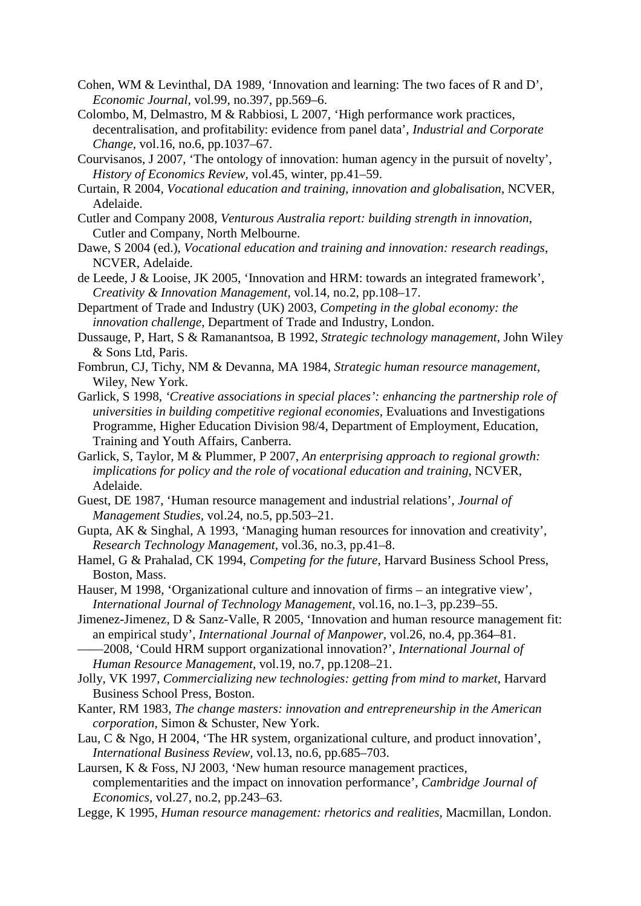- Cohen, WM & Levinthal, DA 1989, 'Innovation and learning: The two faces of R and D', *Economic Journal,* vol.99, no.397, pp.569–6.
- Colombo, M, Delmastro, M & Rabbiosi, L 2007, 'High performance work practices, decentralisation, and profitability: evidence from panel data', *Industrial and Corporate Change,* vol.16, no.6, pp.1037–67.
- Courvisanos, J 2007, 'The ontology of innovation: human agency in the pursuit of novelty', *History of Economics Review,* vol.45, winter, pp.41–59.
- Curtain, R 2004, *Vocational education and training, innovation and globalisation*, NCVER, Adelaide.
- Cutler and Company 2008, *Venturous Australia report: building strength in innovation*, Cutler and Company, North Melbourne.
- Dawe, S 2004 (ed.), *Vocational education and training and innovation: research readings*, NCVER, Adelaide.
- de Leede, J & Looise, JK 2005, 'Innovation and HRM: towards an integrated framework', *Creativity & Innovation Management,* vol.14, no.2, pp.108–17.
- Department of Trade and Industry (UK) 2003, *Competing in the global economy: the innovation challenge*, Department of Trade and Industry, London.
- Dussauge, P, Hart, S & Ramanantsoa, B 1992, *Strategic technology management*, John Wiley & Sons Ltd, Paris.
- Fombrun, CJ, Tichy, NM & Devanna, MA 1984, *Strategic human resource management*, Wiley, New York.
- Garlick, S 1998, *'Creative associations in special places': enhancing the partnership role of universities in building competitive regional economies, Evaluations and Investigations* Programme, Higher Education Division 98/4, Department of Employment, Education, Training and Youth Affairs, Canberra.
- Garlick, S, Taylor, M & Plummer, P 2007, *An enterprising approach to regional growth: implications for policy and the role of vocational education and training*, NCVER, Adelaide.
- Guest, DE 1987, 'Human resource management and industrial relations', *Journal of Management Studies,* vol.24, no.5, pp.503–21.
- Gupta, AK & Singhal, A 1993, 'Managing human resources for innovation and creativity', *Research Technology Management,* vol.36, no.3, pp.41–8.
- Hamel, G & Prahalad, CK 1994, *Competing for the future*, Harvard Business School Press, Boston, Mass.
- Hauser, M 1998, 'Organizational culture and innovation of firms an integrative view', *International Journal of Technology Management,* vol.16, no.1–3, pp.239–55.
- Jimenez-Jimenez, D & Sanz-Valle, R 2005, 'Innovation and human resource management fit: an empirical study', *International Journal of Manpower,* vol.26, no.4, pp.364–81.
- ——2008, 'Could HRM support organizational innovation?', *International Journal of Human Resource Management,* vol.19, no.7, pp.1208–21.
- Jolly, VK 1997, *Commercializing new technologies: getting from mind to market*, Harvard Business School Press, Boston.
- Kanter, RM 1983, *The change masters: innovation and entrepreneurship in the American corporation*, Simon & Schuster, New York.
- Lau, C & Ngo, H 2004, 'The HR system, organizational culture, and product innovation', *International Business Review,* vol.13, no.6, pp.685–703.
- Laursen, K & Foss, NJ 2003, 'New human resource management practices, complementarities and the impact on innovation performance', *Cambridge Journal of Economics,* vol.27, no.2, pp.243–63.
- Legge, K 1995, *Human resource management: rhetorics and realities*, Macmillan, London.